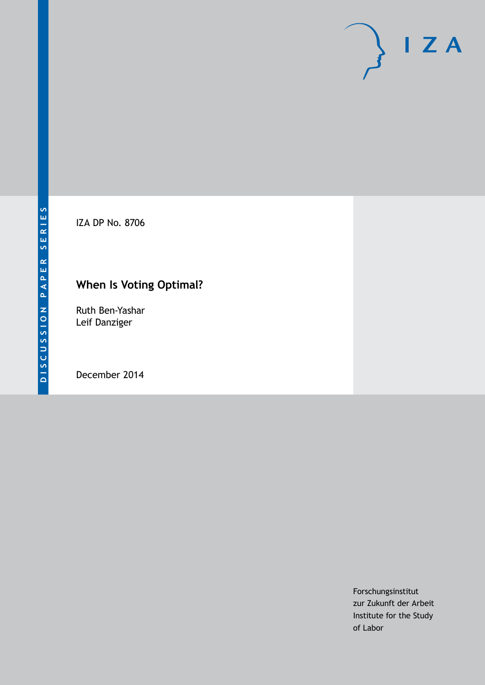

IZA DP No. 8706

# **When Is Voting Optimal?**

Ruth Ben-Yashar Leif Danziger

December 2014

Forschungsinstitut zur Zukunft der Arbeit Institute for the Study of Labor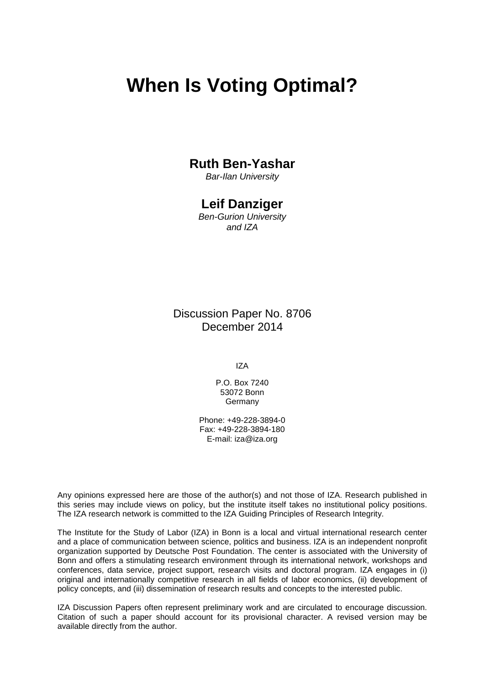# **When Is Voting Optimal?**

#### **Ruth Ben-Yashar**

*Bar-Ilan University*

#### **Leif Danziger**

*Ben-Gurion University and IZA*

Discussion Paper No. 8706 December 2014

IZA

P.O. Box 7240 53072 Bonn Germany

Phone: +49-228-3894-0 Fax: +49-228-3894-180 E-mail: [iza@iza.org](mailto:iza@iza.org)

Any opinions expressed here are those of the author(s) and not those of IZA. Research published in this series may include views on policy, but the institute itself takes no institutional policy positions. The IZA research network is committed to the IZA Guiding Principles of Research Integrity.

The Institute for the Study of Labor (IZA) in Bonn is a local and virtual international research center and a place of communication between science, politics and business. IZA is an independent nonprofit organization supported by Deutsche Post Foundation. The center is associated with the University of Bonn and offers a stimulating research environment through its international network, workshops and conferences, data service, project support, research visits and doctoral program. IZA engages in (i) original and internationally competitive research in all fields of labor economics, (ii) development of policy concepts, and (iii) dissemination of research results and concepts to the interested public.

IZA Discussion Papers often represent preliminary work and are circulated to encourage discussion. Citation of such a paper should account for its provisional character. A revised version may be available directly from the author.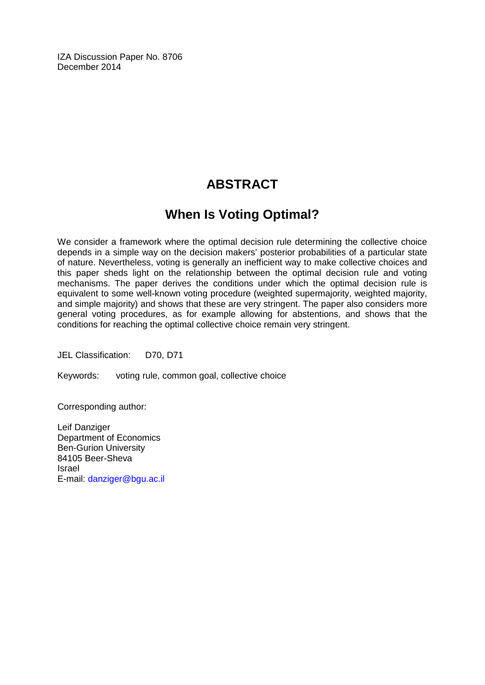IZA Discussion Paper No. 8706 December 2014

# **ABSTRACT**

# **When Is Voting Optimal?**

We consider a framework where the optimal decision rule determining the collective choice depends in a simple way on the decision makers' posterior probabilities of a particular state of nature. Nevertheless, voting is generally an inefficient way to make collective choices and this paper sheds light on the relationship between the optimal decision rule and voting mechanisms. The paper derives the conditions under which the optimal decision rule is equivalent to some well-known voting procedure (weighted supermajority, weighted majority, and simple majority) and shows that these are very stringent. The paper also considers more general voting procedures, as for example allowing for abstentions, and shows that the conditions for reaching the optimal collective choice remain very stringent.

JEL Classification: D70, D71

Keywords: voting rule, common goal, collective choice

Corresponding author:

Leif Danziger Department of Economics Ben-Gurion University 84105 Beer-Sheva Israel E-mail: [danziger@bgu.ac.il](mailto:danziger@bgu.ac.il)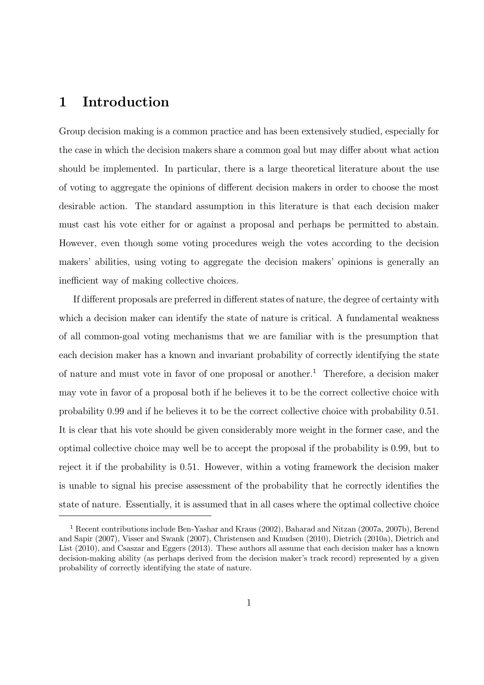### 1 Introduction

Group decision making is a common practice and has been extensively studied, especially for the case in which the decision makers share a common goal but may differ about what action should be implemented. In particular, there is a large theoretical literature about the use of voting to aggregate the opinions of different decision makers in order to choose the most desirable action. The standard assumption in this literature is that each decision maker must cast his vote either for or against a proposal and perhaps be permitted to abstain. However, even though some voting procedures weigh the votes according to the decision makers' abilities, using voting to aggregate the decision makers' opinions is generally an inefficient way of making collective choices.

If different proposals are preferred in different states of nature, the degree of certainty with which a decision maker can identify the state of nature is critical. A fundamental weakness of all common-goal voting mechanisms that we are familiar with is the presumption that each decision maker has a known and invariant probability of correctly identifying the state of nature and must vote in favor of one proposal or another.<sup>1</sup> Therefore, a decision maker may vote in favor of a proposal both if he believes it to be the correct collective choice with probability 0.99 and if he believes it to be the correct collective choice with probability 0.51. It is clear that his vote should be given considerably more weight in the former case, and the optimal collective choice may well be to accept the proposal if the probability is 0.99, but to reject it if the probability is 0.51. However, within a voting framework the decision maker is unable to signal his precise assessment of the probability that he correctly identifies the state of nature. Essentially, it is assumed that in all cases where the optimal collective choice

<sup>1</sup> Recent contributions include Ben-Yashar and Kraus (2002), Baharad and Nitzan (2007a, 2007b), Berend and Sapir (2007), Visser and Swank (2007), Christensen and Knudsen (2010), Dietrich (2010a), Dietrich and List (2010), and Csaszar and Eggers (2013). These authors all assume that each decision maker has a known decision-making ability (as perhaps derived from the decision maker's track record) represented by a given probability of correctly identifying the state of nature.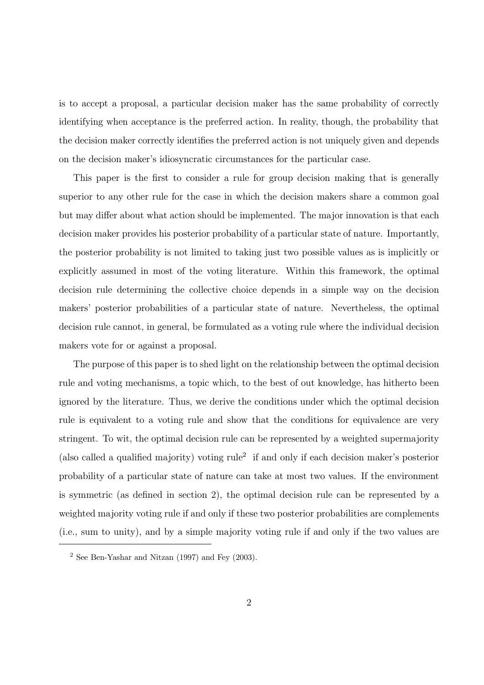is to accept a proposal, a particular decision maker has the same probability of correctly identifying when acceptance is the preferred action. In reality, though, the probability that the decision maker correctly identifies the preferred action is not uniquely given and depends on the decision maker's idiosyncratic circumstances for the particular case.

This paper is the first to consider a rule for group decision making that is generally superior to any other rule for the case in which the decision makers share a common goal but may differ about what action should be implemented. The major innovation is that each decision maker provides his posterior probability of a particular state of nature. Importantly, the posterior probability is not limited to taking just two possible values as is implicitly or explicitly assumed in most of the voting literature. Within this framework, the optimal decision rule determining the collective choice depends in a simple way on the decision makers' posterior probabilities of a particular state of nature. Nevertheless, the optimal decision rule cannot, in general, be formulated as a voting rule where the individual decision makers vote for or against a proposal.

The purpose of this paper is to shed light on the relationship between the optimal decision rule and voting mechanisms, a topic which, to the best of out knowledge, has hitherto been ignored by the literature. Thus, we derive the conditions under which the optimal decision rule is equivalent to a voting rule and show that the conditions for equivalence are very stringent. To wit, the optimal decision rule can be represented by a weighted supermajority (also called a qualified majority) voting rule<sup>2</sup> if and only if each decision maker's posterior probability of a particular state of nature can take at most two values. If the environment is symmetric (as defined in section 2), the optimal decision rule can be represented by a weighted majority voting rule if and only if these two posterior probabilities are complements (i.e., sum to unity), and by a simple majority voting rule if and only if the two values are

<sup>&</sup>lt;sup>2</sup> See Ben-Yashar and Nitzan  $(1997)$  and Fey  $(2003)$ .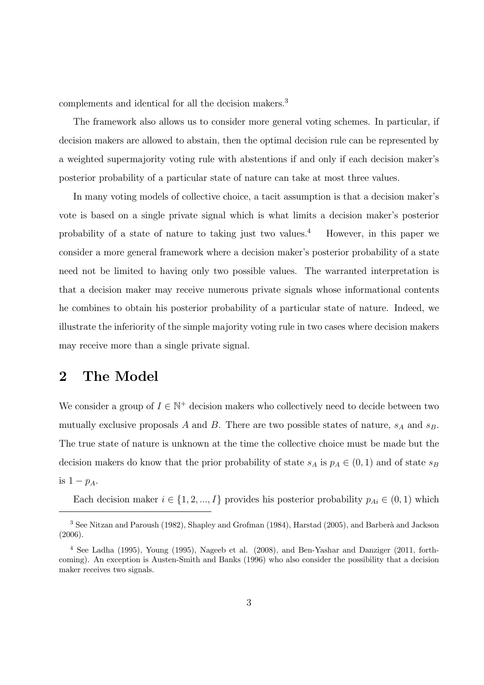complements and identical for all the decision makers.<sup>3</sup>

The framework also allows us to consider more general voting schemes. In particular, if decision makers are allowed to abstain, then the optimal decision rule can be represented by a weighted supermajority voting rule with abstentions if and only if each decision maker's posterior probability of a particular state of nature can take at most three values.

In many voting models of collective choice, a tacit assumption is that a decision maker's vote is based on a single private signal which is what limits a decision maker's posterior probability of a state of nature to taking just two values.<sup>4</sup> However, in this paper we consider a more general framework where a decision maker's posterior probability of a state need not be limited to having only two possible values. The warranted interpretation is that a decision maker may receive numerous private signals whose informational contents he combines to obtain his posterior probability of a particular state of nature. Indeed, we illustrate the inferiority of the simple majority voting rule in two cases where decision makers may receive more than a single private signal.

### 2 The Model

We consider a group of  $I \in \mathbb{N}^+$  decision makers who collectively need to decide between two mutually exclusive proposals A and B. There are two possible states of nature,  $s_A$  and  $s_B$ . The true state of nature is unknown at the time the collective choice must be made but the decision makers do know that the prior probability of state  $s_A$  is  $p_A \in (0,1)$  and of state  $s_B$ is  $1 - p_A$ .

Each decision maker  $i \in \{1, 2, ..., I\}$  provides his posterior probability  $p_{Ai} \in (0, 1)$  which

 $3$  See Nitzan and Paroush (1982), Shapley and Grofman (1984), Harstad (2005), and Barberà and Jackson (2006).

<sup>4</sup> See Ladha (1995), Young (1995), Nageeb et al. (2008), and Ben-Yashar and Danziger (2011, forthcoming). An exception is Austen-Smith and Banks (1996) who also consider the possibility that a decision maker receives two signals.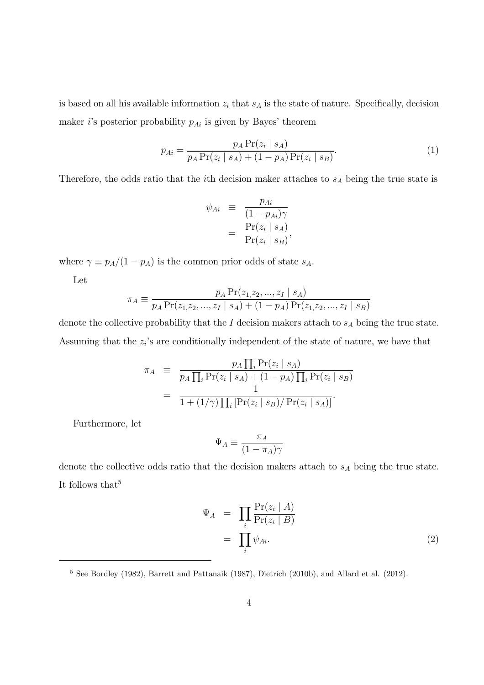is based on all his available information  $z_i$  that  $s_A$  is the state of nature. Specifically, decision maker *i*'s posterior probability  $p_{Ai}$  is given by Bayes' theorem

$$
p_{Ai} = \frac{p_A \Pr(z_i \mid s_A)}{p_A \Pr(z_i \mid s_A) + (1 - p_A) \Pr(z_i \mid s_B)}.
$$
(1)

Therefore, the odds ratio that the *i*th decision maker attaches to  $s_A$  being the true state is

$$
\psi_{Ai} \equiv \frac{p_{Ai}}{(1 - p_{Ai})\gamma} \n= \frac{\Pr(z_i \mid s_A)}{\Pr(z_i \mid s_B)},
$$

where  $\gamma \equiv p_A/(1 - p_A)$  is the common prior odds of state  $s_A$ .

Let

$$
\pi_A \equiv \frac{p_A \Pr(z_1, z_2, ..., z_I \mid s_A)}{p_A \Pr(z_1, z_2, ..., z_I \mid s_A) + (1 - p_A) \Pr(z_1, z_2, ..., z_I \mid s_B)}
$$

denote the collective probability that the  $I$  decision makers attach to  $s_A$  being the true state. Assuming that the  $z_i$ 's are conditionally independent of the state of nature, we have that

$$
\pi_A \equiv \frac{p_A \prod_i \Pr(z_i \mid s_A)}{p_A \prod_i \Pr(z_i \mid s_A) + (1 - p_A) \prod_i \Pr(z_i \mid s_B)}
$$

$$
= \frac{1}{1 + (1/\gamma) \prod_i [\Pr(z_i \mid s_B) / \Pr(z_i \mid s_A)]}.
$$

Furthermore, let

$$
\Psi_A \equiv \frac{\pi_A}{(1 - \pi_A)\gamma}
$$

denote the collective odds ratio that the decision makers attach to  $s_A$  being the true state. It follows that  $5$ 

$$
\Psi_A = \prod_i \frac{\Pr(z_i \mid A)}{\Pr(z_i \mid B)} \n= \prod_i \psi_{Ai}.
$$
\n(2)

<sup>5</sup> See Bordley (1982), Barrett and Pattanaik (1987), Dietrich (2010b), and Allard et al. (2012).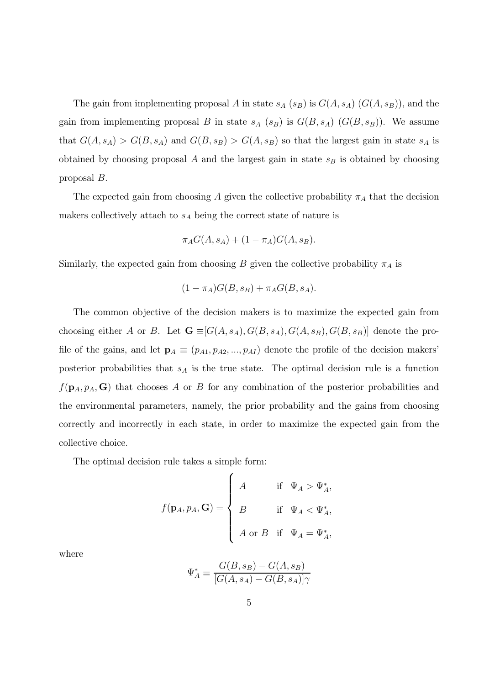The gain from implementing proposal A in state  $s_A(s_B)$  is  $G(A, s_A)$   $(G(A, s_B))$ , and the gain from implementing proposal B in state  $s_A$  ( $s_B$ ) is  $G(B, s_A)$  ( $G(B, s_B)$ ). We assume that  $G(A, s_A) > G(B, s_A)$  and  $G(B, s_B) > G(A, s_B)$  so that the largest gain in state  $s_A$  is obtained by choosing proposal  $A$  and the largest gain in state  $s_B$  is obtained by choosing proposal B.

The expected gain from choosing A given the collective probability  $\pi_A$  that the decision makers collectively attach to  $s_A$  being the correct state of nature is

$$
\pi_A G(A,s_A) + (1-\pi_A)G(A,s_B).
$$

Similarly, the expected gain from choosing B given the collective probability  $\pi_A$  is

$$
(1 - \pi_A)G(B, s_B) + \pi_A G(B, s_A).
$$

The common objective of the decision makers is to maximize the expected gain from choosing either A or B. Let  $\mathbf{G} \equiv [G(A, s_A), G(B, s_A), G(A, s_B), G(B, s_B)]$  denote the profile of the gains, and let  $\mathbf{p}_A \equiv (p_{A1}, p_{A2}, ..., p_{AI})$  denote the profile of the decision makers' posterior probabilities that  $s_A$  is the true state. The optimal decision rule is a function  $f(\mathbf{p}_A, p_A, \mathbf{G})$  that chooses A or B for any combination of the posterior probabilities and the environmental parameters, namely, the prior probability and the gains from choosing correctly and incorrectly in each state, in order to maximize the expected gain from the collective choice.

The optimal decision rule takes a simple form:

$$
f(\mathbf{p}_A, p_A, \mathbf{G}) = \begin{cases} A & \text{if } \Psi_A > \Psi_A^*, \\ B & \text{if } \Psi_A < \Psi_A^*, \\ A & \text{or } B & \text{if } \Psi_A = \Psi_A^*, \end{cases}
$$

where

$$
\Psi_A^* \equiv \frac{G(B, s_B) - G(A, s_B)}{[G(A, s_A) - G(B, s_A)]\gamma}
$$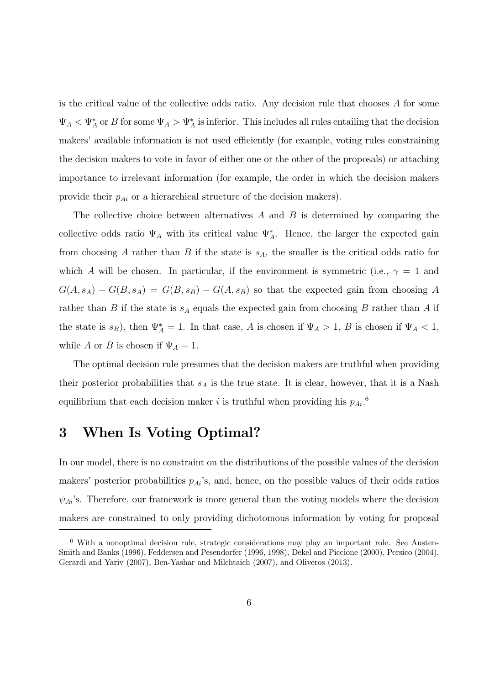is the critical value of the collective odds ratio. Any decision rule that chooses A for some  $\Psi_A \leq \Psi_A^*$  or B for some  $\Psi_A > \Psi_A^*$  is inferior. This includes all rules entailing that the decision makers' available information is not used efficiently (for example, voting rules constraining the decision makers to vote in favor of either one or the other of the proposals) or attaching importance to irrelevant information (for example, the order in which the decision makers provide their  $p_{Ai}$  or a hierarchical structure of the decision makers).

The collective choice between alternatives  $A$  and  $B$  is determined by comparing the collective odds ratio  $\Psi_A$  with its critical value  $\Psi_A^*$ . Hence, the larger the expected gain from choosing A rather than B if the state is  $s_A$ , the smaller is the critical odds ratio for which A will be chosen. In particular, if the environment is symmetric (i.e.,  $\gamma = 1$  and  $G(A, s_A) - G(B, s_A) = G(B, s_B) - G(A, s_B)$  so that the expected gain from choosing A rather than B if the state is  $s_A$  equals the expected gain from choosing B rather than A if the state is  $s_B$ ), then  $\Psi_A^* = 1$ . In that case, A is chosen if  $\Psi_A > 1$ , B is chosen if  $\Psi_A < 1$ , while A or B is chosen if  $\Psi_A = 1$ .

The optimal decision rule presumes that the decision makers are truthful when providing their posterior probabilities that  $s_A$  is the true state. It is clear, however, that it is a Nash equilibrium that each decision maker *i* is truthful when providing his  $p_{Ai}$ <sup>6</sup>

## 3 When Is Voting Optimal?

In our model, there is no constraint on the distributions of the possible values of the decision makers' posterior probabilities  $p_{Ai}$ 's, and, hence, on the possible values of their odds ratios  $\psi_{Ai}$ 's. Therefore, our framework is more general than the voting models where the decision makers are constrained to only providing dichotomous information by voting for proposal

<sup>6</sup> With a nonoptimal decision rule, strategic considerations may play an important role. See Austen-Smith and Banks (1996), Feddersen and Pesendorfer (1996, 1998), Dekel and Piccione (2000), Persico (2004), Gerardi and Yariv (2007), Ben-Yashar and Milchtaich (2007), and Oliveros (2013).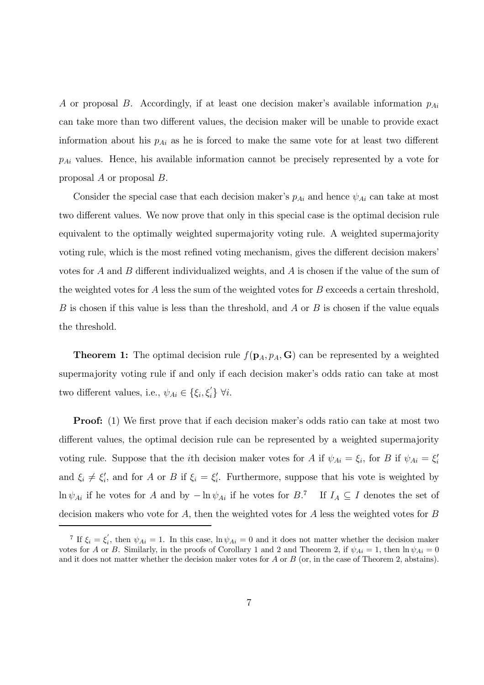A or proposal B. Accordingly, if at least one decision maker's available information  $p_{Ai}$ can take more than two different values, the decision maker will be unable to provide exact information about his  $p_{Ai}$  as he is forced to make the same vote for at least two different  $p_{Ai}$  values. Hence, his available information cannot be precisely represented by a vote for proposal A or proposal B.

Consider the special case that each decision maker's  $p_{Ai}$  and hence  $\psi_{Ai}$  can take at most two different values. We now prove that only in this special case is the optimal decision rule equivalent to the optimally weighted supermajority voting rule. A weighted supermajority voting rule, which is the most refined voting mechanism, gives the different decision makers' votes for A and B different individualized weights, and A is chosen if the value of the sum of the weighted votes for A less the sum of the weighted votes for B exceeds a certain threshold,  $B$  is chosen if this value is less than the threshold, and  $A$  or  $B$  is chosen if the value equals the threshold.

**Theorem 1:** The optimal decision rule  $f(\mathbf{p}_A, p_A, \mathbf{G})$  can be represented by a weighted supermajority voting rule if and only if each decision maker's odds ratio can take at most two different values, i.e.,  $\psi_{Ai} \in \{\xi_i, \xi'_i\} \ \forall i$ .

Proof: (1) We first prove that if each decision maker's odds ratio can take at most two different values, the optimal decision rule can be represented by a weighted supermajority voting rule. Suppose that the *i*th decision maker votes for A if  $\psi_{Ai} = \xi_i$ , for B if  $\psi_{Ai} = \xi'_i$ i and  $\xi_i \neq \xi'_i$ ', and for A or B if  $\xi_i = \xi'_i$  $i'$ . Furthermore, suppose that his vote is weighted by  $\ln \psi_{Ai}$  if he votes for A and by  $-\ln \psi_{Ai}$  if he votes for  $B$ <sup>7</sup>. If  $I_A \subseteq I$  denotes the set of decision makers who vote for A, then the weighted votes for A less the weighted votes for B

<sup>&</sup>lt;sup>7</sup> If  $\xi_i = \xi'_i$ , then  $\psi_{Ai} = 1$ . In this case,  $\ln \psi_{Ai} = 0$  and it does not matter whether the decision maker votes for A or B. Similarly, in the proofs of Corollary 1 and 2 and Theorem 2, if  $\psi_{Ai} = 1$ , then  $\ln \psi_{Ai} = 0$ and it does not matter whether the decision maker votes for A or B (or, in the case of Theorem 2, abstains).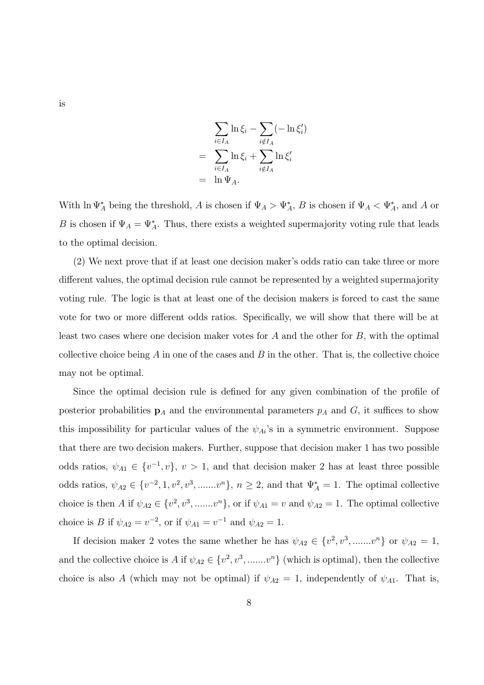$$
\sum_{i \in I_A} \ln \xi_i - \sum_{i \notin I_A} (-\ln \xi'_i)
$$
  
= 
$$
\sum_{i \in I_A} \ln \xi_i + \sum_{i \notin I_A} \ln \xi'_i
$$
  
= 
$$
\ln \Psi_A.
$$

With  $\ln \Psi_A^*$  being the threshold, A is chosen if  $\Psi_A > \Psi_A^*$ , B is chosen if  $\Psi_A < \Psi_A^*$ , and A or B is chosen if  $\Psi_A = \Psi_A^*$ . Thus, there exists a weighted supermajority voting rule that leads to the optimal decision.

(2) We next prove that if at least one decision maker's odds ratio can take three or more different values, the optimal decision rule cannot be represented by a weighted supermajority voting rule. The logic is that at least one of the decision makers is forced to cast the same vote for two or more different odds ratios. Specifically, we will show that there will be at least two cases where one decision maker votes for A and the other for B, with the optimal collective choice being  $A$  in one of the cases and  $B$  in the other. That is, the collective choice may not be optimal.

Since the optimal decision rule is defined for any given combination of the profile of posterior probabilities  $p_A$  and the environmental parameters  $p_A$  and  $G$ , it suffices to show this impossibility for particular values of the  $\psi_{Ai}$ 's in a symmetric environment. Suppose that there are two decision makers. Further, suppose that decision maker 1 has two possible odds ratios,  $\psi_{A1} \in \{v^{-1}, v\}, v > 1$ , and that decision maker 2 has at least three possible odds ratios,  $\psi_{A2} \in \{v^{-2}, 1, v^2, v^3, \dots, v^n\}, n \ge 2$ , and that  $\Psi_A^* = 1$ . The optimal collective choice is then A if  $\psi_{A2} \in \{v^2, v^3, \dots, v^n\}$ , or if  $\psi_{A1} = v$  and  $\psi_{A2} = 1$ . The optimal collective choice is *B* if  $\psi_{A2} = v^{-2}$ , or if  $\psi_{A1} = v^{-1}$  and  $\psi_{A2} = 1$ .

If decision maker 2 votes the same whether he has  $\psi_{A2} \in \{v^2, v^3, \dots, v^n\}$  or  $\psi_{A2} = 1$ , and the collective choice is A if  $\psi_{A2} \in \{v^2, v^3, \dots, v^n\}$  (which is optimal), then the collective choice is also A (which may not be optimal) if  $\psi_{A2} = 1$ , independently of  $\psi_{A1}$ . That is,

is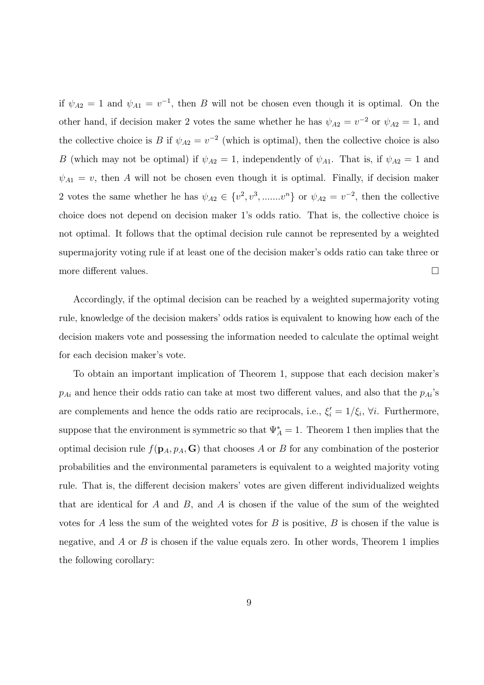if  $\psi_{A2} = 1$  and  $\psi_{A1} = v^{-1}$ , then B will not be chosen even though it is optimal. On the other hand, if decision maker 2 votes the same whether he has  $\psi_{A2} = v^{-2}$  or  $\psi_{A2} = 1$ , and the collective choice is B if  $\psi_{A2} = v^{-2}$  (which is optimal), then the collective choice is also B (which may not be optimal) if  $\psi_{A2} = 1$ , independently of  $\psi_{A1}$ . That is, if  $\psi_{A2} = 1$  and  $\psi_{A1} = v$ , then A will not be chosen even though it is optimal. Finally, if decision maker 2 votes the same whether he has  $\psi_{A2} \in \{v^2, v^3, \dots, v^n\}$  or  $\psi_{A2} = v^{-2}$ , then the collective choice does not depend on decision maker 1's odds ratio. That is, the collective choice is not optimal. It follows that the optimal decision rule cannot be represented by a weighted supermajority voting rule if at least one of the decision maker's odds ratio can take three or more different values.  $\Box$ 

Accordingly, if the optimal decision can be reached by a weighted supermajority voting rule, knowledge of the decision makers' odds ratios is equivalent to knowing how each of the decision makers vote and possessing the information needed to calculate the optimal weight for each decision maker's vote.

To obtain an important implication of Theorem 1, suppose that each decision maker's  $p_{Ai}$  and hence their odds ratio can take at most two different values, and also that the  $p_{Ai}$ 's are complements and hence the odds ratio are reciprocals, i.e.,  $\xi_i' = 1/\xi_i$ ,  $\forall i$ . Furthermore, suppose that the environment is symmetric so that  $\Psi_A^* = 1$ . Theorem 1 then implies that the optimal decision rule  $f(\mathbf{p}_A, p_A, \mathbf{G})$  that chooses A or B for any combination of the posterior probabilities and the environmental parameters is equivalent to a weighted majority voting rule. That is, the different decision makers' votes are given different individualized weights that are identical for  $A$  and  $B$ , and  $A$  is chosen if the value of the sum of the weighted votes for A less the sum of the weighted votes for B is positive, B is chosen if the value is negative, and  $A$  or  $B$  is chosen if the value equals zero. In other words, Theorem 1 implies the following corollary: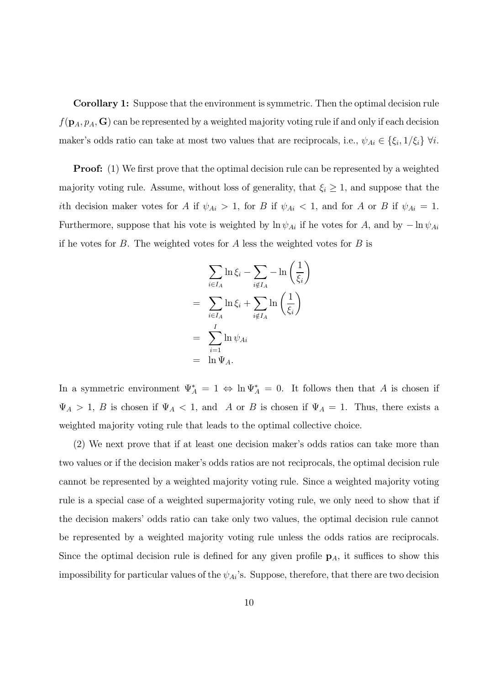Corollary 1: Suppose that the environment is symmetric. Then the optimal decision rule  $f(\mathbf{p}_A, p_A, \mathbf{G})$  can be represented by a weighted majority voting rule if and only if each decision maker's odds ratio can take at most two values that are reciprocals, i.e.,  $\psi_{Ai} \in \{\xi_i, 1/\xi_i\}$   $\forall i$ .

**Proof:** (1) We first prove that the optimal decision rule can be represented by a weighted majority voting rule. Assume, without loss of generality, that  $\xi_i \geq 1$ , and suppose that the ith decision maker votes for A if  $\psi_{Ai} > 1$ , for B if  $\psi_{Ai} < 1$ , and for A or B if  $\psi_{Ai} = 1$ . Furthermore, suppose that his vote is weighted by  $\ln \psi_{Ai}$  if he votes for A, and by  $-\ln \psi_{Ai}$ if he votes for  $B$ . The weighted votes for  $A$  less the weighted votes for  $B$  is

$$
\sum_{i \in I_A} \ln \xi_i - \sum_{i \notin I_A} - \ln \left( \frac{1}{\xi_i} \right)
$$
  
= 
$$
\sum_{i \in I_A} \ln \xi_i + \sum_{i \notin I_A} \ln \left( \frac{1}{\xi_i} \right)
$$
  
= 
$$
\sum_{i=1}^{I} \ln \psi_{Ai}
$$
  
= 
$$
\ln \Psi_A.
$$

In a symmetric environment  $\Psi_A^* = 1 \Leftrightarrow \ln \Psi_A^* = 0$ . It follows then that A is chosen if  $\Psi_A > 1$ , B is chosen if  $\Psi_A < 1$ , and A or B is chosen if  $\Psi_A = 1$ . Thus, there exists a weighted majority voting rule that leads to the optimal collective choice.

(2) We next prove that if at least one decision maker's odds ratios can take more than two values or if the decision maker's odds ratios are not reciprocals, the optimal decision rule cannot be represented by a weighted majority voting rule. Since a weighted majority voting rule is a special case of a weighted supermajority voting rule, we only need to show that if the decision makers' odds ratio can take only two values, the optimal decision rule cannot be represented by a weighted majority voting rule unless the odds ratios are reciprocals. Since the optimal decision rule is defined for any given profile  $p_A$ , it suffices to show this impossibility for particular values of the  $\psi_{Ai}$ 's. Suppose, therefore, that there are two decision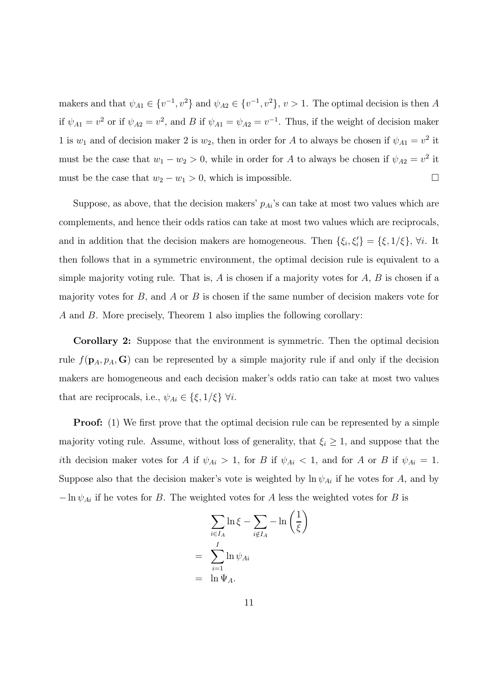makers and that  $\psi_{A1} \in \{v^{-1}, v^2\}$  and  $\psi_{A2} \in \{v^{-1}, v^2\}$ ,  $v > 1$ . The optimal decision is then A if  $\psi_{A1} = v^2$  or if  $\psi_{A2} = v^2$ , and B if  $\psi_{A1} = \psi_{A2} = v^{-1}$ . Thus, if the weight of decision maker 1 is  $w_1$  and of decision maker 2 is  $w_2$ , then in order for A to always be chosen if  $\psi_{A1} = v^2$  it must be the case that  $w_1 - w_2 > 0$ , while in order for A to always be chosen if  $\psi_{A2} = v^2$  it must be the case that  $w_2 - w_1 > 0$ , which is impossible.

Suppose, as above, that the decision makers'  $p_{Ai}$ 's can take at most two values which are complements, and hence their odds ratios can take at most two values which are reciprocals, and in addition that the decision makers are homogeneous. Then  $\{\xi_i, \xi'_i\} = \{\xi, 1/\xi\}, \forall i$ . It then follows that in a symmetric environment, the optimal decision rule is equivalent to a simple majority voting rule. That is,  $A$  is chosen if a majority votes for  $A, B$  is chosen if a majority votes for  $B$ , and  $A$  or  $B$  is chosen if the same number of decision makers vote for A and B. More precisely, Theorem 1 also implies the following corollary:

Corollary 2: Suppose that the environment is symmetric. Then the optimal decision rule  $f(\mathbf{p}_A, p_A, \mathbf{G})$  can be represented by a simple majority rule if and only if the decision makers are homogeneous and each decision maker's odds ratio can take at most two values that are reciprocals, i.e.,  $\psi_{Ai} \in \{\xi, 1/\xi\}$   $\forall i$ .

**Proof:** (1) We first prove that the optimal decision rule can be represented by a simple majority voting rule. Assume, without loss of generality, that  $\xi_i \geq 1$ , and suppose that the ith decision maker votes for A if  $\psi_{Ai} > 1$ , for B if  $\psi_{Ai} < 1$ , and for A or B if  $\psi_{Ai} = 1$ . Suppose also that the decision maker's vote is weighted by  $\ln \psi_{Ai}$  if he votes for A, and by  $-\ln \psi_{Ai}$  if he votes for B. The weighted votes for A less the weighted votes for B is

$$
\sum_{i \in I_A} \ln \xi - \sum_{i \notin I_A} - \ln \left( \frac{1}{\xi} \right)
$$

$$
= \sum_{i=1}^{I} \ln \psi_{Ai}
$$

$$
= \ln \Psi_A.
$$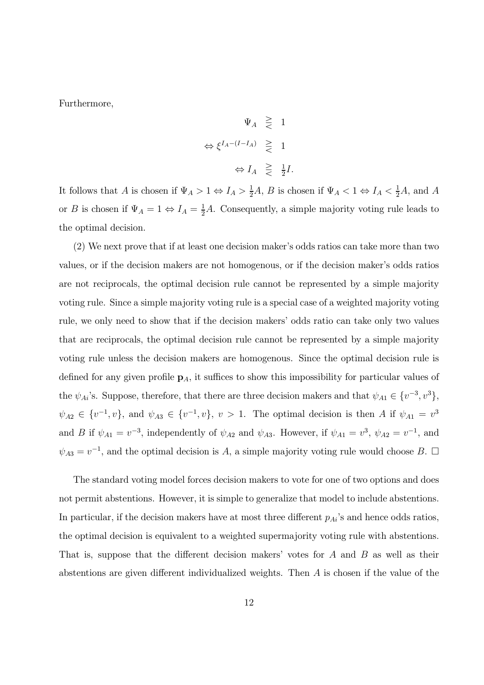Furthermore,

$$
\Psi_A \geq 1
$$
  
\n
$$
\Leftrightarrow \xi^{I_A - (I - I_A)} \geq 1
$$
  
\n
$$
\Leftrightarrow I_A \geq \frac{1}{2}I.
$$

It follows that A is chosen if  $\Psi_A > 1 \Leftrightarrow I_A > \frac{1}{2}A$ , B is chosen if  $\Psi_A < 1 \Leftrightarrow I_A < \frac{1}{2}A$ , and A or B is chosen if  $\Psi_A = 1 \Leftrightarrow I_A = \frac{1}{2}A$ . Consequently, a simple majority voting rule leads to the optimal decision.

(2) We next prove that if at least one decision maker's odds ratios can take more than two values, or if the decision makers are not homogenous, or if the decision maker's odds ratios are not reciprocals, the optimal decision rule cannot be represented by a simple majority voting rule. Since a simple majority voting rule is a special case of a weighted majority voting rule, we only need to show that if the decision makers' odds ratio can take only two values that are reciprocals, the optimal decision rule cannot be represented by a simple majority voting rule unless the decision makers are homogenous. Since the optimal decision rule is defined for any given profile  $\mathbf{p}_A$ , it suffices to show this impossibility for particular values of the  $\psi_{Ai}$ 's. Suppose, therefore, that there are three decision makers and that  $\psi_{A1} \in \{v^{-3}, v^3\},$  $\psi_{A2} \in \{v^{-1}, v\}$ , and  $\psi_{A3} \in \{v^{-1}, v\}$ ,  $v > 1$ . The optimal decision is then A if  $\psi_{A1} = v^3$ and B if  $\psi_{A1} = v^{-3}$ , independently of  $\psi_{A2}$  and  $\psi_{A3}$ . However, if  $\psi_{A1} = v^3$ ,  $\psi_{A2} = v^{-1}$ , and  $\psi_{A3} = v^{-1}$ , and the optimal decision is A, a simple majority voting rule would choose B.  $\Box$ 

The standard voting model forces decision makers to vote for one of two options and does not permit abstentions. However, it is simple to generalize that model to include abstentions. In particular, if the decision makers have at most three different  $p_{Ai}$ 's and hence odds ratios, the optimal decision is equivalent to a weighted supermajority voting rule with abstentions. That is, suppose that the different decision makers' votes for  $A$  and  $B$  as well as their abstentions are given different individualized weights. Then A is chosen if the value of the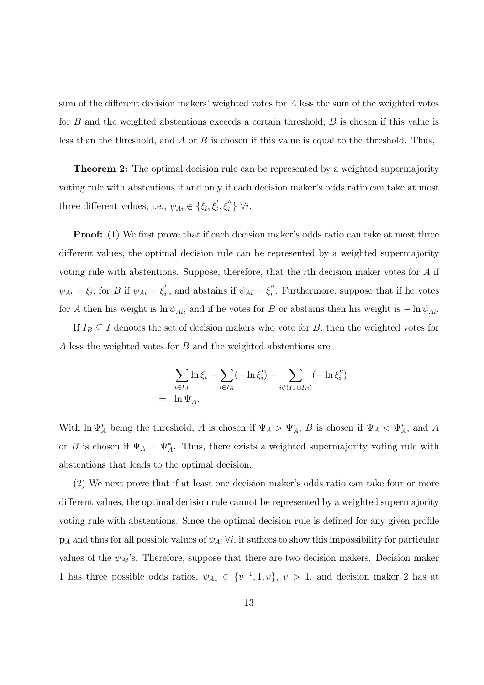sum of the different decision makers' weighted votes for A less the sum of the weighted votes for B and the weighted abstentions exceeds a certain threshold, B is chosen if this value is less than the threshold, and  $A$  or  $B$  is chosen if this value is equal to the threshold. Thus,

Theorem 2: The optimal decision rule can be represented by a weighted supermajority voting rule with abstentions if and only if each decision maker's odds ratio can take at most three different values, i.e.,  $\psi_{Ai} \in \{\xi_i, \xi'_i, \xi''_i\} \ \forall i$ .

**Proof:** (1) We first prove that if each decision maker's odds ratio can take at most three different values, the optimal decision rule can be represented by a weighted supermajority voting rule with abstentions. Suppose, therefore, that the ith decision maker votes for A if  $\psi_{Ai} = \xi_i$ , for B if  $\psi_{Ai} = \xi'_i$  $\zeta_i'$ , and abstains if  $\psi_{Ai} = \xi_i''$  $i$ . Furthermore, suppose that if he votes for A then his weight is  $\ln \psi_{Ai}$ , and if he votes for B or abstains then his weight is  $-\ln \psi_{Ai}$ .

If  $I_B \subseteq I$  denotes the set of decision makers who vote for B, then the weighted votes for A less the weighted votes for B and the weighted abstentions are

$$
\sum_{i \in I_A} \ln \xi_i - \sum_{i \in I_B} (-\ln \xi'_i) - \sum_{i \notin (I_A \cup I_B)} (-\ln \xi''_i)
$$
  
=  $\ln \Psi_A$ .

With  $\ln \Psi_A^*$  being the threshold, A is chosen if  $\Psi_A > \Psi_A^*$ , B is chosen if  $\Psi_A < \Psi_A^*$ , and A or B is chosen if  $\Psi_A = \Psi_A^*$ . Thus, there exists a weighted supermajority voting rule with abstentions that leads to the optimal decision.

(2) We next prove that if at least one decision maker's odds ratio can take four or more different values, the optimal decision rule cannot be represented by a weighted supermajority voting rule with abstentions. Since the optimal decision rule is defined for any given profile  $\mathbf{p}_A$  and thus for all possible values of  $\psi_{Ai}$   $\forall i$ , it suffices to show this impossibility for particular values of the  $\psi_{Ai}$ 's. Therefore, suppose that there are two decision makers. Decision maker 1 has three possible odds ratios,  $\psi_{A1} \in \{v^{-1}, 1, v\}$ ,  $v > 1$ , and decision maker 2 has at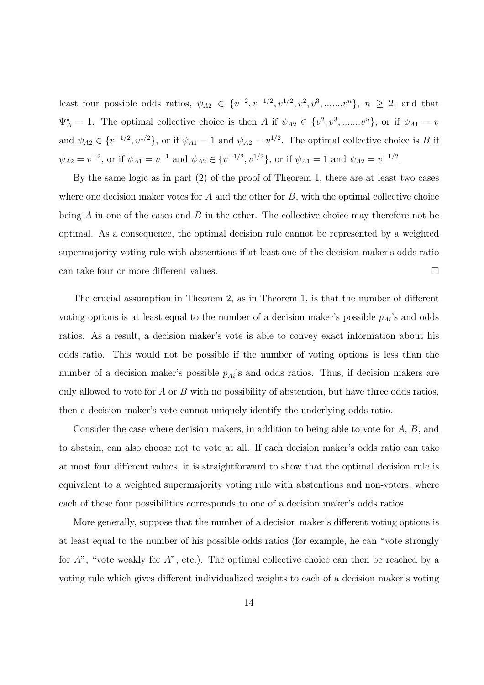least four possible odds ratios,  $\psi_{A2} \in \{v^{-2}, v^{-1/2}, v^{1/2}, v^2, v^3, \dots, v^n\}, n \ge 2$ , and that  $\Psi_A^* = 1$ . The optimal collective choice is then A if  $\psi_{A2} \in \{v^2, v^3, \dots, v^n\}$ , or if  $\psi_{A1} = v$ and  $\psi_{A2} \in \{v^{-1/2}, v^{1/2}\}\$ , or if  $\psi_{A1} = 1$  and  $\psi_{A2} = v^{1/2}$ . The optimal collective choice is B if  $\psi_{A2} = v^{-2}$ , or if  $\psi_{A1} = v^{-1}$  and  $\psi_{A2} \in \{v^{-1/2}, v^{1/2}\}$ , or if  $\psi_{A1} = 1$  and  $\psi_{A2} = v^{-1/2}$ .

By the same logic as in part (2) of the proof of Theorem 1, there are at least two cases where one decision maker votes for  $A$  and the other for  $B$ , with the optimal collective choice being  $A$  in one of the cases and  $B$  in the other. The collective choice may therefore not be optimal. As a consequence, the optimal decision rule cannot be represented by a weighted supermajority voting rule with abstentions if at least one of the decision maker's odds ratio can take four or more different values.  $\Box$ 

The crucial assumption in Theorem 2, as in Theorem 1, is that the number of different voting options is at least equal to the number of a decision maker's possible  $p_{Ai}$ 's and odds ratios. As a result, a decision maker's vote is able to convey exact information about his odds ratio. This would not be possible if the number of voting options is less than the number of a decision maker's possible  $p_{Ai}$ 's and odds ratios. Thus, if decision makers are only allowed to vote for  $A$  or  $B$  with no possibility of abstention, but have three odds ratios, then a decision maker's vote cannot uniquely identify the underlying odds ratio.

Consider the case where decision makers, in addition to being able to vote for A, B, and to abstain, can also choose not to vote at all. If each decision maker's odds ratio can take at most four different values, it is straightforward to show that the optimal decision rule is equivalent to a weighted supermajority voting rule with abstentions and non-voters, where each of these four possibilities corresponds to one of a decision maker's odds ratios.

More generally, suppose that the number of a decision maker's different voting options is at least equal to the number of his possible odds ratios (for example, he can "vote strongly for A", "vote weakly for A", etc.). The optimal collective choice can then be reached by a voting rule which gives different individualized weights to each of a decision maker's voting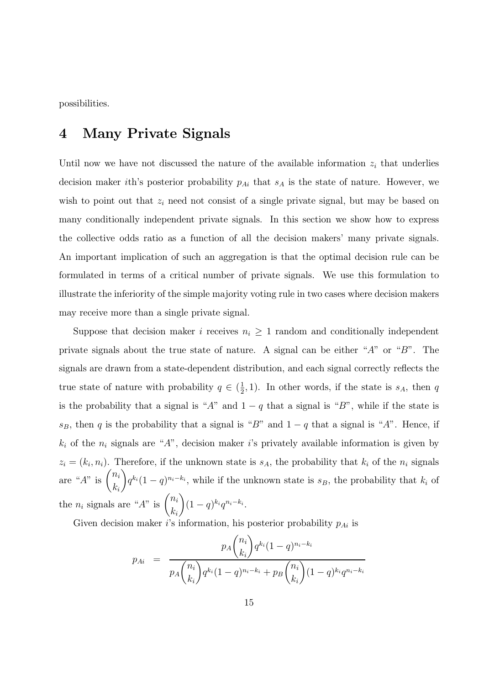possibilities.

#### 4 Many Private Signals

Until now we have not discussed the nature of the available information  $z_i$  that underlies decision maker *i*th's posterior probability  $p_{Ai}$  that  $s_A$  is the state of nature. However, we wish to point out that  $z_i$  need not consist of a single private signal, but may be based on many conditionally independent private signals. In this section we show how to express the collective odds ratio as a function of all the decision makers' many private signals. An important implication of such an aggregation is that the optimal decision rule can be formulated in terms of a critical number of private signals. We use this formulation to illustrate the inferiority of the simple majority voting rule in two cases where decision makers may receive more than a single private signal.

Suppose that decision maker i receives  $n_i \geq 1$  random and conditionally independent private signals about the true state of nature. A signal can be either "A" or "B". The signals are drawn from a state-dependent distribution, and each signal correctly reflects the true state of nature with probability  $q \in (\frac{1}{2})$  $(\frac{1}{2}, 1)$ . In other words, if the state is  $s_A$ , then q is the probability that a signal is " $A$ " and  $1 - q$  that a signal is " $B$ ", while if the state is  $s_B$ , then q is the probability that a signal is "B" and 1 − q that a signal is "A". Hence, if  $k_i$  of the  $n_i$  signals are "A", decision maker i's privately available information is given by  $z_i = (k_i, n_i)$ . Therefore, if the unknown state is  $s_A$ , the probability that  $k_i$  of the  $n_i$  signals are "A" is  $\binom{n_i}{i}$  $k_i$  $\setminus$  $q^{k_i}(1-q)^{n_i-k_i}$ , while if the unknown state is  $s_B$ , the probability that  $k_i$  of the  $n_i$  signals are "A" is  $\binom{n_i}{k_i}$  $k_i$  $\setminus$  $(1-q)^{k_i} q^{n_i-k_i}.$ 

Given decision maker i's information, his posterior probability  $p_{Ai}$  is

$$
p_{Ai} = \frac{p_A \binom{n_i}{k_i} q^{k_i} (1-q)^{n_i - k_i}}{p_A \binom{n_i}{k_i} q^{k_i} (1-q)^{n_i - k_i} + p_B \binom{n_i}{k_i} (1-q)^{k_i} q^{n_i - k_i}}
$$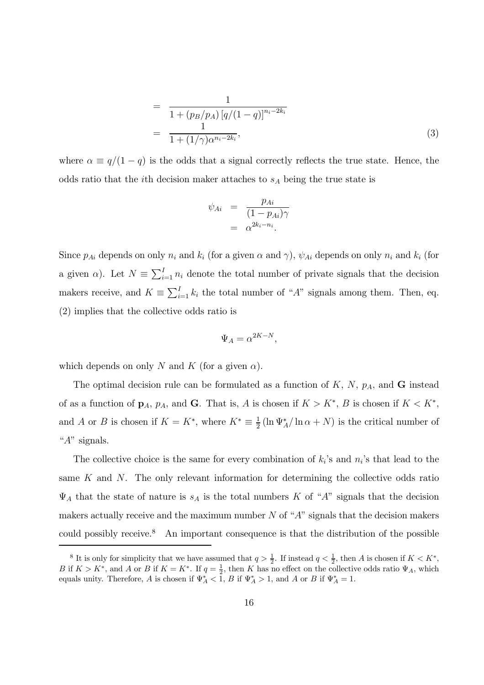$$
= \frac{1}{1 + (p_B/p_A) [q/(1-q)]^{n_i - 2k_i}}
$$
  
= 
$$
\frac{1}{1 + (1/\gamma)\alpha^{n_i - 2k_i}},
$$
 (3)

where  $\alpha \equiv q/(1-q)$  is the odds that a signal correctly reflects the true state. Hence, the odds ratio that the *i*th decision maker attaches to  $s_A$  being the true state is

$$
\psi_{Ai} = \frac{p_{Ai}}{(1 - p_{Ai})\gamma} = \alpha^{2k_i - n_i}.
$$

Since  $p_{Ai}$  depends on only  $n_i$  and  $k_i$  (for a given  $\alpha$  and  $\gamma$ ),  $\psi_{Ai}$  depends on only  $n_i$  and  $k_i$  (for a given  $\alpha$ ). Let  $N \equiv \sum_{i=1}^{I} n_i$  denote the total number of private signals that the decision makers receive, and  $K \equiv \sum_{i=1}^{I} k_i$  the total number of "A" signals among them. Then, eq. (2) implies that the collective odds ratio is

$$
\Psi_A = \alpha^{2K-N},
$$

which depends on only N and K (for a given  $\alpha$ ).

The optimal decision rule can be formulated as a function of  $K$ ,  $N$ ,  $p_A$ , and **G** instead of as a function of  $\mathbf{p}_A$ ,  $p_A$ , and **G**. That is, A is chosen if  $K > K^*$ , B is chosen if  $K < K^*$ , and A or B is chosen if  $K = K^*$ , where  $K^* \equiv \frac{1}{2}$  $\frac{1}{2}$  (ln  $\Psi_A^* / \ln \alpha + N$ ) is the critical number of " $A$ " signals.

The collective choice is the same for every combination of  $k_i$ 's and  $n_i$ 's that lead to the same  $K$  and  $N$ . The only relevant information for determining the collective odds ratio  $\Psi_A$  that the state of nature is  $s_A$  is the total numbers K of "A" signals that the decision makers actually receive and the maximum number  $N$  of " $A$ " signals that the decision makers could possibly receive.<sup>8</sup> An important consequence is that the distribution of the possible

<sup>&</sup>lt;sup>8</sup> It is only for simplicity that we have assumed that  $q > \frac{1}{2}$ . If instead  $q < \frac{1}{2}$ , then A is chosen if  $K < K^*$ , B if  $K > K^*$ , and A or B if  $K = K^*$ . If  $q = \frac{1}{2}$ , then K has no effect on the collective odds ratio  $\Psi_A$ , which equals unity. Therefore, A is chosen if  $\Psi_A^* < 1$ , B if  $\Psi_A^* > 1$ , and A or B if  $\Psi_A^* = 1$ .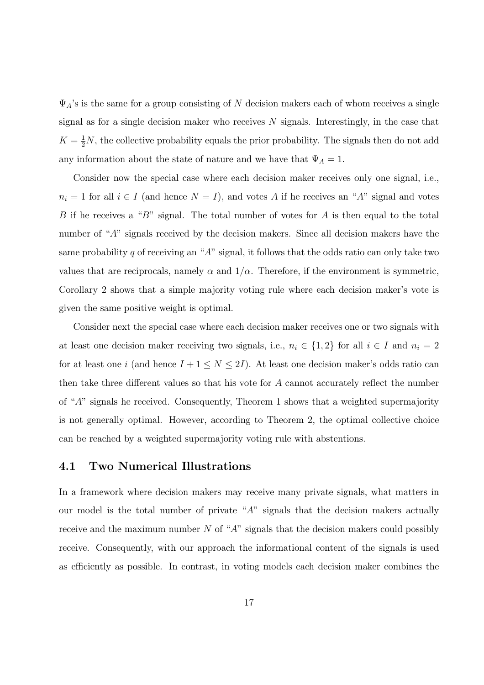$\Psi_A$ 's is the same for a group consisting of N decision makers each of whom receives a single signal as for a single decision maker who receives  $N$  signals. Interestingly, in the case that  $K = \frac{1}{2}N$ , the collective probability equals the prior probability. The signals then do not add any information about the state of nature and we have that  $\Psi_A = 1$ .

Consider now the special case where each decision maker receives only one signal, i.e.,  $n_i = 1$  for all  $i \in I$  (and hence  $N = I$ ), and votes A if he receives an "A" signal and votes B if he receives a "B" signal. The total number of votes for  $A$  is then equal to the total number of "A" signals received by the decision makers. Since all decision makers have the same probability q of receiving an "A" signal, it follows that the odds ratio can only take two values that are reciprocals, namely  $\alpha$  and  $1/\alpha$ . Therefore, if the environment is symmetric, Corollary 2 shows that a simple majority voting rule where each decision maker's vote is given the same positive weight is optimal.

Consider next the special case where each decision maker receives one or two signals with at least one decision maker receiving two signals, i.e.,  $n_i \in \{1,2\}$  for all  $i \in I$  and  $n_i = 2$ for at least one i (and hence  $I + 1 \leq N \leq 2I$ ). At least one decision maker's odds ratio can then take three different values so that his vote for A cannot accurately reflect the number of "A" signals he received. Consequently, Theorem 1 shows that a weighted supermajority is not generally optimal. However, according to Theorem 2, the optimal collective choice can be reached by a weighted supermajority voting rule with abstentions.

#### 4.1 Two Numerical Illustrations

In a framework where decision makers may receive many private signals, what matters in our model is the total number of private " $A$ " signals that the decision makers actually receive and the maximum number  $N$  of " $A$ " signals that the decision makers could possibly receive. Consequently, with our approach the informational content of the signals is used as efficiently as possible. In contrast, in voting models each decision maker combines the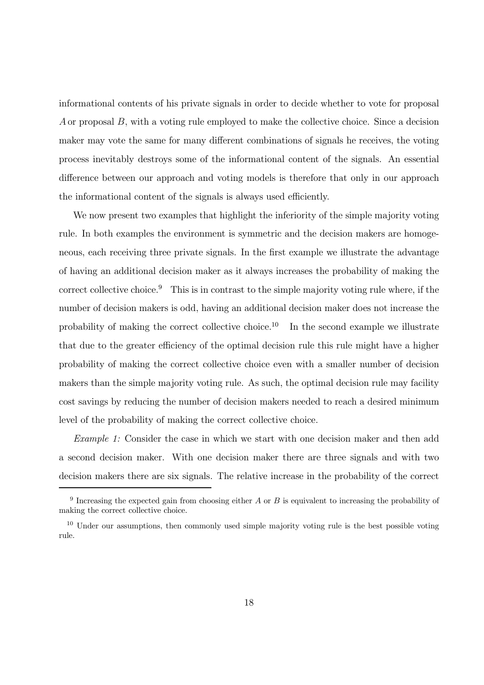informational contents of his private signals in order to decide whether to vote for proposal A or proposal B, with a voting rule employed to make the collective choice. Since a decision maker may vote the same for many different combinations of signals he receives, the voting process inevitably destroys some of the informational content of the signals. An essential difference between our approach and voting models is therefore that only in our approach the informational content of the signals is always used efficiently.

We now present two examples that highlight the inferiority of the simple majority voting rule. In both examples the environment is symmetric and the decision makers are homogeneous, each receiving three private signals. In the first example we illustrate the advantage of having an additional decision maker as it always increases the probability of making the correct collective choice.<sup>9</sup> This is in contrast to the simple majority voting rule where, if the number of decision makers is odd, having an additional decision maker does not increase the probability of making the correct collective choice.<sup>10</sup> In the second example we illustrate that due to the greater efficiency of the optimal decision rule this rule might have a higher probability of making the correct collective choice even with a smaller number of decision makers than the simple majority voting rule. As such, the optimal decision rule may facility cost savings by reducing the number of decision makers needed to reach a desired minimum level of the probability of making the correct collective choice.

Example 1: Consider the case in which we start with one decision maker and then add a second decision maker. With one decision maker there are three signals and with two decision makers there are six signals. The relative increase in the probability of the correct

<sup>&</sup>lt;sup>9</sup> Increasing the expected gain from choosing either  $A$  or  $B$  is equivalent to increasing the probability of making the correct collective choice.

<sup>&</sup>lt;sup>10</sup> Under our assumptions, then commonly used simple majority voting rule is the best possible voting rule.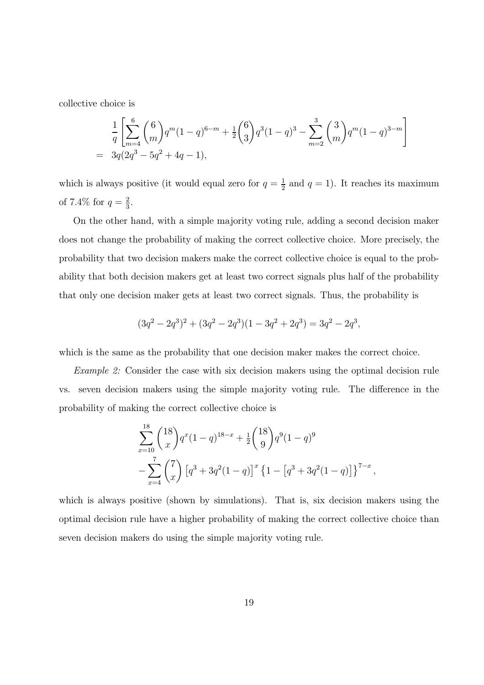collective choice is

$$
\frac{1}{q} \left[ \sum_{m=4}^{6} {6 \choose m} q^m (1-q)^{6-m} + \frac{1}{2} {6 \choose 3} q^3 (1-q)^3 - \sum_{m=2}^{3} {3 \choose m} q^m (1-q)^{3-m} \right]
$$
\n
$$
= 3q(2q^3 - 5q^2 + 4q - 1),
$$

which is always positive (it would equal zero for  $q=\frac{1}{2}$ )  $\frac{1}{2}$  and  $q = 1$ ). It reaches its maximum of 7.4\% for  $q = \frac{2}{3}$  $\frac{2}{3}$ .

On the other hand, with a simple majority voting rule, adding a second decision maker does not change the probability of making the correct collective choice. More precisely, the probability that two decision makers make the correct collective choice is equal to the probability that both decision makers get at least two correct signals plus half of the probability that only one decision maker gets at least two correct signals. Thus, the probability is

$$
(3q2 - 2q3)2 + (3q2 - 2q3)(1 - 3q2 + 2q3) = 3q2 - 2q3,
$$

which is the same as the probability that one decision maker makes the correct choice.

Example 2: Consider the case with six decision makers using the optimal decision rule vs. seven decision makers using the simple majority voting rule. The difference in the probability of making the correct collective choice is

$$
\sum_{x=10}^{18} {18 \choose x} q^x (1-q)^{18-x} + \frac{1}{2} {18 \choose 9} q^9 (1-q)^9
$$
  

$$
-\sum_{x=4}^{7} {7 \choose x} [q^3 + 3q^2 (1-q)]^x \{1 - [q^3 + 3q^2 (1-q)]\}^{7-x},
$$

which is always positive (shown by simulations). That is, six decision makers using the optimal decision rule have a higher probability of making the correct collective choice than seven decision makers do using the simple majority voting rule.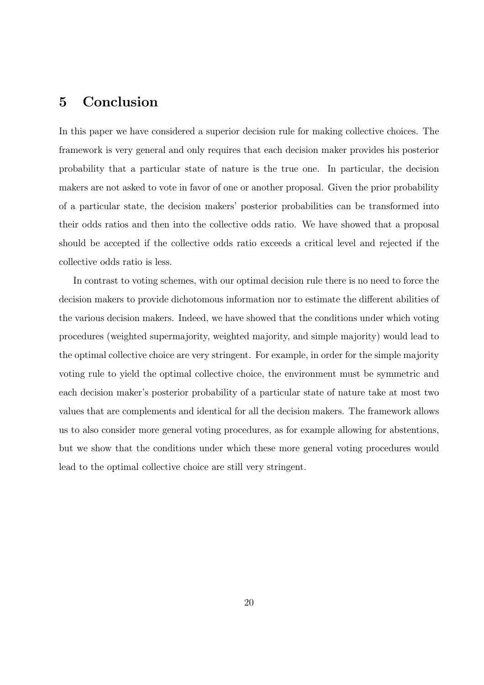#### 5 Conclusion

In this paper we have considered a superior decision rule for making collective choices. The framework is very general and only requires that each decision maker provides his posterior probability that a particular state of nature is the true one. In particular, the decision makers are not asked to vote in favor of one or another proposal. Given the prior probability of a particular state, the decision makers' posterior probabilities can be transformed into their odds ratios and then into the collective odds ratio. We have showed that a proposal should be accepted if the collective odds ratio exceeds a critical level and rejected if the collective odds ratio is less.

In contrast to voting schemes, with our optimal decision rule there is no need to force the decision makers to provide dichotomous information nor to estimate the different abilities of the various decision makers. Indeed, we have showed that the conditions under which voting procedures (weighted supermajority, weighted majority, and simple majority) would lead to the optimal collective choice are very stringent. For example, in order for the simple majority voting rule to yield the optimal collective choice, the environment must be symmetric and each decision maker's posterior probability of a particular state of nature take at most two values that are complements and identical for all the decision makers. The framework allows us to also consider more general voting procedures, as for example allowing for abstentions, but we show that the conditions under which these more general voting procedures would lead to the optimal collective choice are still very stringent.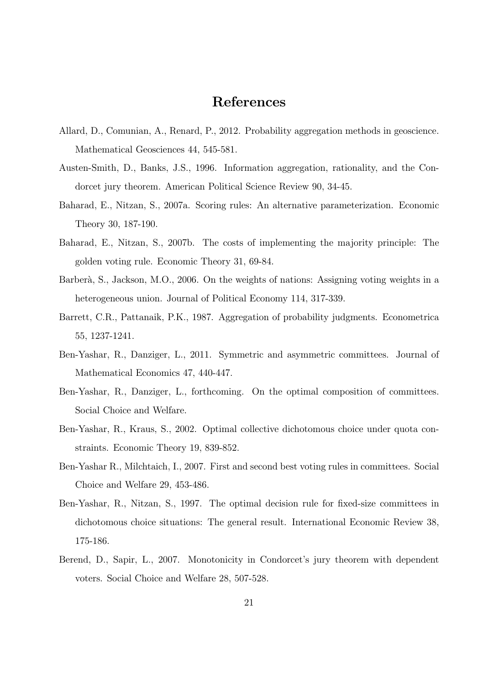#### References

- Allard, D., Comunian, A., Renard, P., 2012. Probability aggregation methods in geoscience. Mathematical Geosciences 44, 545-581.
- Austen-Smith, D., Banks, J.S., 1996. Information aggregation, rationality, and the Condorcet jury theorem. American Political Science Review 90, 34-45.
- Baharad, E., Nitzan, S., 2007a. Scoring rules: An alternative parameterization. Economic Theory 30, 187-190.
- Baharad, E., Nitzan, S., 2007b. The costs of implementing the majority principle: The golden voting rule. Economic Theory 31, 69-84.
- Barberà, S., Jackson, M.O., 2006. On the weights of nations: Assigning voting weights in a heterogeneous union. Journal of Political Economy 114, 317-339.
- Barrett, C.R., Pattanaik, P.K., 1987. Aggregation of probability judgments. Econometrica 55, 1237-1241.
- Ben-Yashar, R., Danziger, L., 2011. Symmetric and asymmetric committees. Journal of Mathematical Economics 47, 440-447.
- Ben-Yashar, R., Danziger, L., forthcoming. On the optimal composition of committees. Social Choice and Welfare.
- Ben-Yashar, R., Kraus, S., 2002. Optimal collective dichotomous choice under quota constraints. Economic Theory 19, 839-852.
- Ben-Yashar R., Milchtaich, I., 2007. First and second best voting rules in committees. Social Choice and Welfare 29, 453-486.
- Ben-Yashar, R., Nitzan, S., 1997. The optimal decision rule for fixed-size committees in dichotomous choice situations: The general result. International Economic Review 38, 175-186.
- Berend, D., Sapir, L., 2007. Monotonicity in Condorcet's jury theorem with dependent voters. Social Choice and Welfare 28, 507-528.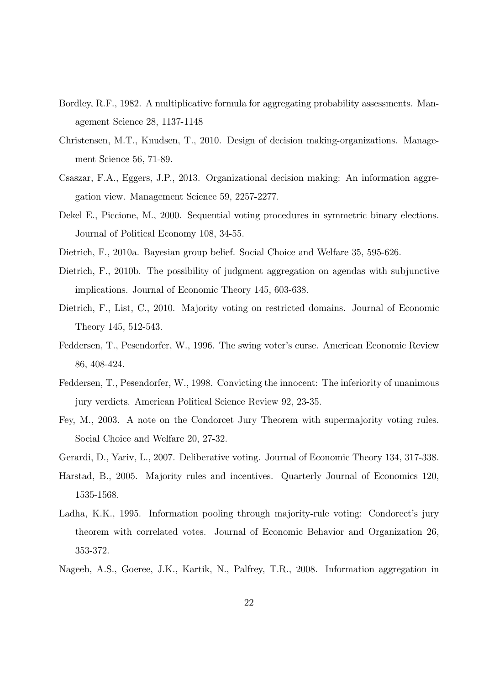- Bordley, R.F., 1982. A multiplicative formula for aggregating probability assessments. Management Science 28, 1137-1148
- Christensen, M.T., Knudsen, T., 2010. Design of decision making-organizations. Management Science 56, 71-89.
- Csaszar, F.A., Eggers, J.P., 2013. Organizational decision making: An information aggregation view. Management Science 59, 2257-2277.
- Dekel E., Piccione, M., 2000. Sequential voting procedures in symmetric binary elections. Journal of Political Economy 108, 34-55.
- Dietrich, F., 2010a. Bayesian group belief. Social Choice and Welfare 35, 595-626.
- Dietrich, F., 2010b. The possibility of judgment aggregation on agendas with subjunctive implications. Journal of Economic Theory 145, 603-638.
- Dietrich, F., List, C., 2010. Majority voting on restricted domains. Journal of Economic Theory 145, 512-543.
- Feddersen, T., Pesendorfer, W., 1996. The swing voter's curse. American Economic Review 86, 408-424.
- Feddersen, T., Pesendorfer, W., 1998. Convicting the innocent: The inferiority of unanimous jury verdicts. American Political Science Review 92, 23-35.
- Fey, M., 2003. A note on the Condorcet Jury Theorem with supermajority voting rules. Social Choice and Welfare 20, 27-32.
- Gerardi, D., Yariv, L., 2007. Deliberative voting. Journal of Economic Theory 134, 317-338.
- Harstad, B., 2005. Majority rules and incentives. Quarterly Journal of Economics 120, 1535-1568.
- Ladha, K.K., 1995. Information pooling through majority-rule voting: Condorcet's jury theorem with correlated votes. Journal of Economic Behavior and Organization 26, 353-372.
- Nageeb, A.S., Goeree, J.K., Kartik, N., Palfrey, T.R., 2008. Information aggregation in